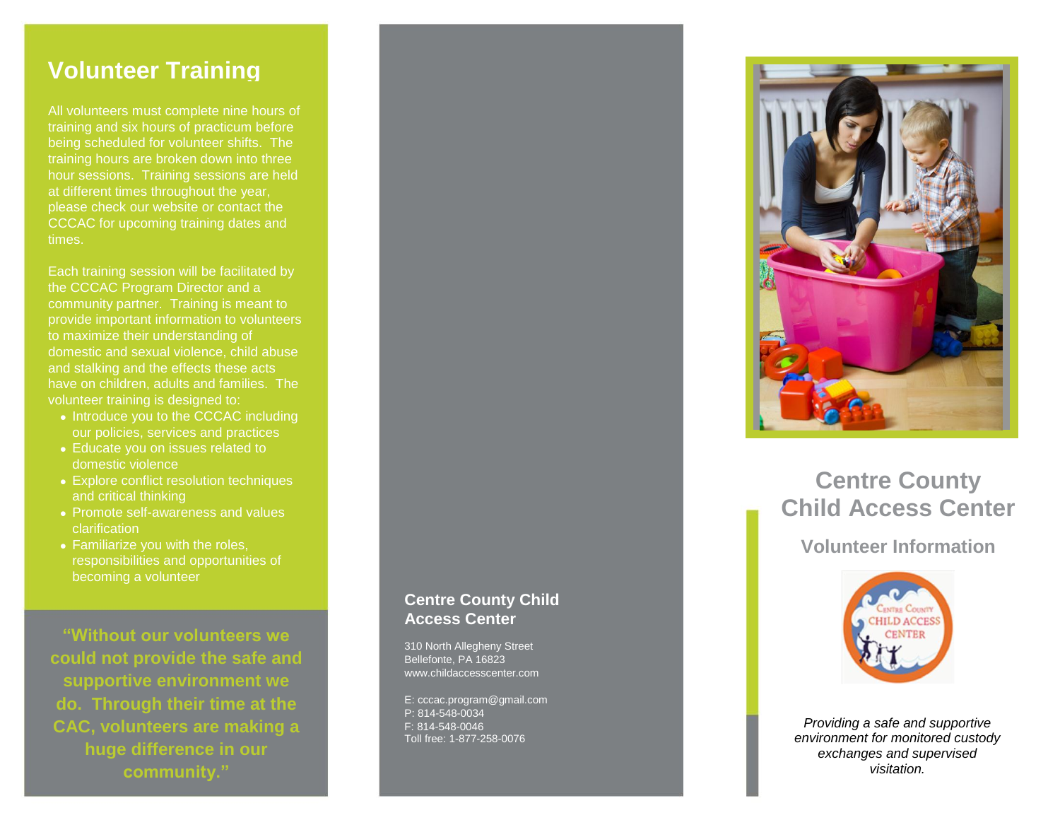#### **Volunteer Training**

All volunteers must complete nine hours of training and six hours of practicum before being scheduled for volunteer shifts. The training hours are broken down into three hour sessions. Training sessions are held at different times throughout the year, please check our website or contact the CCCAC for upcoming training dates and times.

Each training session will be facilitated by the CCCAC Program Director and a community partner. Training is meant to provide important information to volunteers to maximize their understanding of and stalking and the effects these acts have on children, adults and families. The volunteer training is designed to:

- Introduce you to the CCCAC including our policies, services and practices
- Educate you on issues related to domestic violence
- Explore conflict resolution techniques and critical thinking
- Promote self -awareness and values clarification
- Familiarize you with the roles, responsibilities and opportunities of becoming a volunteer

**"Without our volunteers we could not provide the safe and supportive environment we do. Through their time at the CAC, volunteers are making a huge difference in our community."**

#### **Centre County Child Access Center**

310 North Allegheny Street Bellefonte, PA 16823 www.childaccesscenter.com

E: cccac.program @gmail.com P: 814 -548 -0034 F: 814 -548 -0046 Toll free: 1 -877 -258 -0076



## **Centre County Child Access Center**

**Volunteer Information**



*Providing a safe and supportive environment for monitored custody exchanges and supervised visitation.*